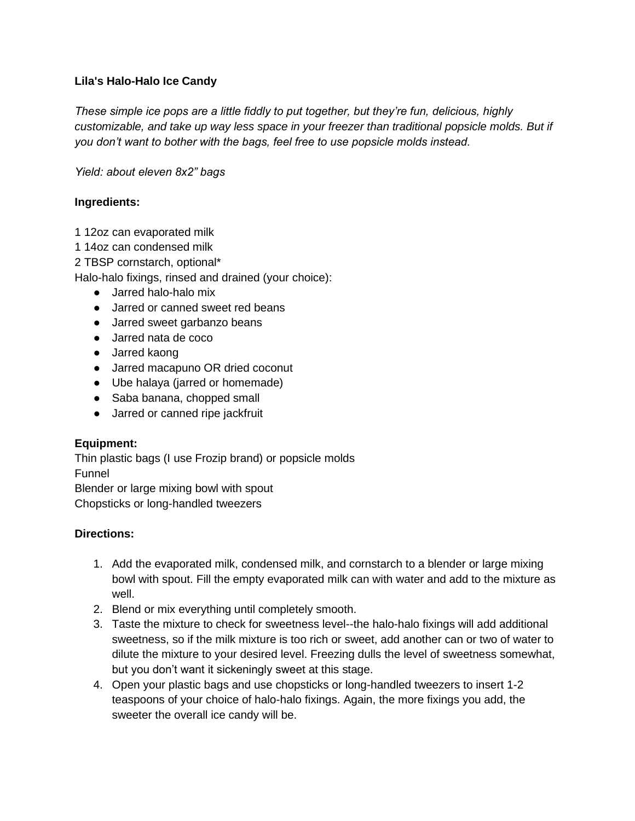## **Lila's Halo-Halo Ice Candy**

*These simple ice pops are a little fiddly to put together, but they're fun, delicious, highly customizable, and take up way less space in your freezer than traditional popsicle molds. But if you don't want to bother with the bags, feel free to use popsicle molds instead.*

*Yield: about eleven 8x2" bags*

## **Ingredients:**

1 12oz can evaporated milk

1 14oz can condensed milk

2 TBSP cornstarch, optional\*

Halo-halo fixings, rinsed and drained (your choice):

- Jarred halo-halo mix
- Jarred or canned sweet red beans
- Jarred sweet garbanzo beans
- Jarred nata de coco
- Jarred kaong
- Jarred macapuno OR dried coconut
- Ube halaya (jarred or homemade)
- Saba banana, chopped small
- Jarred or canned ripe jackfruit

## **Equipment:**

Thin plastic bags (I use Frozip brand) or popsicle molds Funnel

Blender or large mixing bowl with spout Chopsticks or long-handled tweezers

## **Directions:**

- 1. Add the evaporated milk, condensed milk, and cornstarch to a blender or large mixing bowl with spout. Fill the empty evaporated milk can with water and add to the mixture as well.
- 2. Blend or mix everything until completely smooth.
- 3. Taste the mixture to check for sweetness level--the halo-halo fixings will add additional sweetness, so if the milk mixture is too rich or sweet, add another can or two of water to dilute the mixture to your desired level. Freezing dulls the level of sweetness somewhat, but you don't want it sickeningly sweet at this stage.
- 4. Open your plastic bags and use chopsticks or long-handled tweezers to insert 1-2 teaspoons of your choice of halo-halo fixings. Again, the more fixings you add, the sweeter the overall ice candy will be.